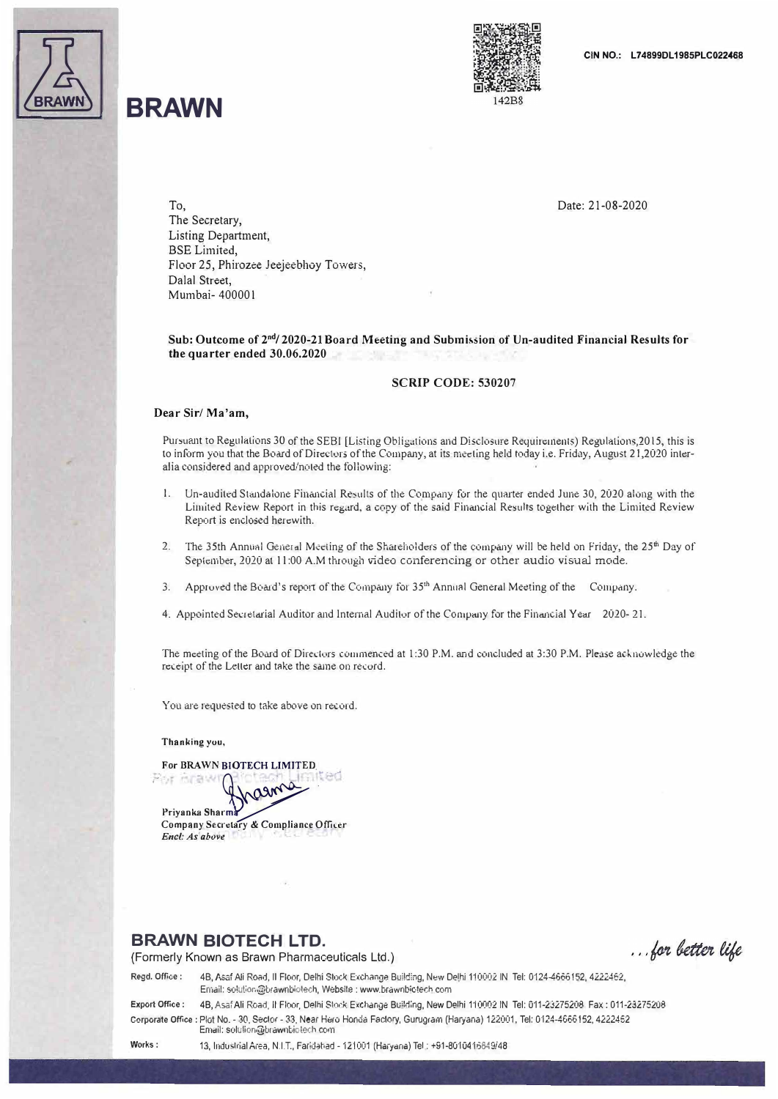

# **BRAWN**



Date: 21-08-2020

To, The Secretary, Listing Department, BSE Limited, Floor 25, Phirozee Jeejeebhoy Towers, Dalal Street, Mumbai- 40000 I

Sub: Outcome of 2nd/ 2020-21 Board Meeting and Submission of Un-audited Financial Results for **the quarter ended 30.06.2020** 

#### **SCRIP CODE: 530207**

#### **Dear Sir/ Ma'am,**

Pursuant to Regulations 30 of the SEBI [Listing Obligations and Disclosure Requirements) Regulations,2015, this is to inform you that the Board of Directors of the Company, at its meeting held today i.e. Friday, August 21,2020 interalia considered and approved/noted the following:

- I.Un-audited Standalone Financial Results of the Company for the quarter ended June 30, 2020 along with the Limited Review Report in this regard, a copy of the said Financial Results together with the Limited Review Report is enclosed herewith.
- 2. The 35th Annual General Meeting of the Shareholders of the company will be held on Friday, the 25<sup>th</sup> Day of September, 2020 at 11 :00 A.M through video conferencing or other audio visual mode.
- 3. Approved the Board's report of the Company for 35<sup>th</sup> Annual General Meeting of the Company.
- 4. Appointed Secretarial Auditor and Internal Auditor of the Company for the Financial Year 2020- 21.

The meeting of the Board of Diredurs commenced at I :30 P.M. and concluded at 3:30 P.M. Plense acknowledge the receipt of the Letter and take the same on record.

You a r e requested to take above on record.

Thanking you,

**,-. For BRAWN BIC**<br>( ) **For BRAWN BIOTECH LIMITED** *<u>\**  $\sim$  ....<sup>14</sup></u>

Priyanka Sharma<br>Company Secretary & Compliance Officer *Encl: As*<sup>*above*</sup>

### **BRAWN BIOTECH LTD.**

(Formerly Known as Brawn Pharmaceuticals Ltd.)

... for better life

Regd. Office: 4B, Asaf Ali Road, II Floor, Delhi Stoc� Exchange Building, New Delhi 110002 IN Tel: 0124-4666152, 4222462, Email: solution@brawnbiotech, Website : www.brawnbiotech.com Export Office: 4B, Asaf Ali Road, II Floor, Delhi Stock fachange Build;ng, New Delhi 110002 IN Tel: 011-23275208 Fax: 011-23275208

Corporate Office: Plot No. - 30, Sector - 33, Near Hero Honda Factory, Gurugram (Haryana) 122001, Tel: 0124-4656152, 4222452 Email: solulion@brawnbiotech com

Works: 13, Industrial Area, N.I.T., Faridatiad - 121001 (Haryana) Tel: +91-8010416849/48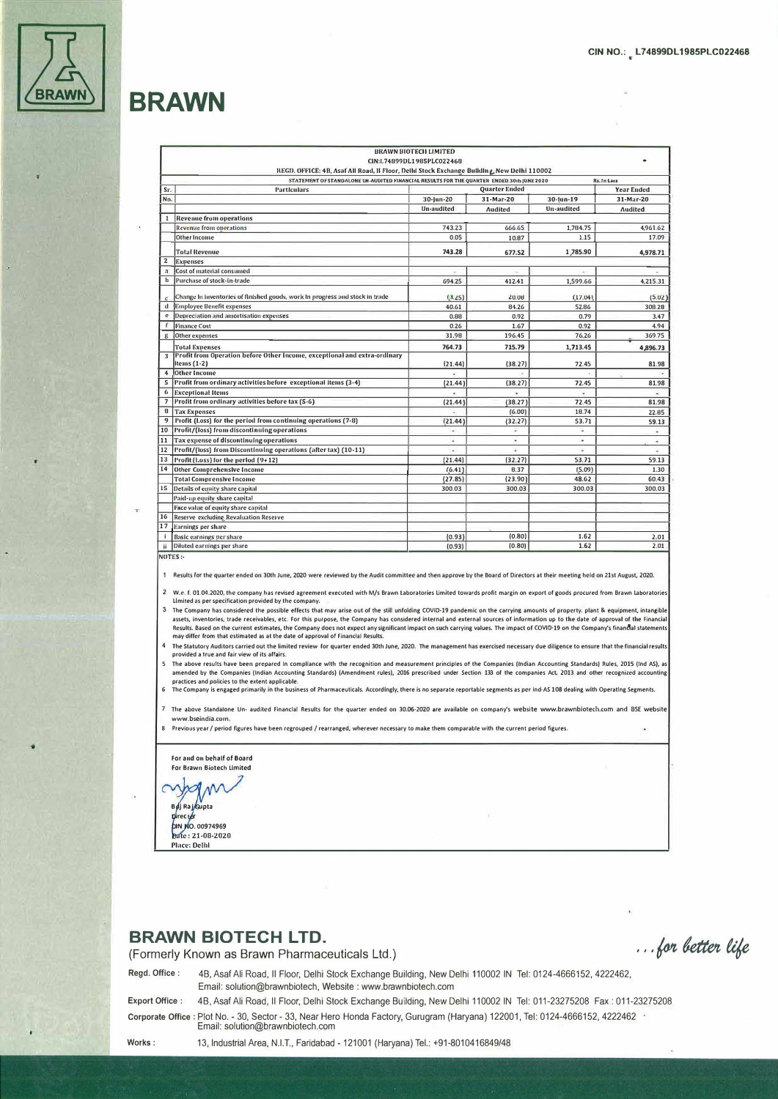

## **BRAWN**

|                     |                                                                                                                                                                                         | <b>BRAWN BIOTECH LIMITED</b> |                |              |                   |
|---------------------|-----------------------------------------------------------------------------------------------------------------------------------------------------------------------------------------|------------------------------|----------------|--------------|-------------------|
|                     |                                                                                                                                                                                         | CIN:L74899DL1985PLC022468    |                |              |                   |
|                     | REGD. OFFICE: 4B, Asaf All Road, II Floor, Delhi Stock Exchange Building, New Delhi 110002<br>STATEMENT OF STANDALONE UN-AUDITED FINANCIAL RESULTS FOR THE QUARTER ENDED 30th JUNE 2020 |                              |                |              | Rs. In Lacs       |
| Sr.                 | <b>Particulars</b>                                                                                                                                                                      | <b>Quarter Ended</b>         |                |              | <b>Year Ended</b> |
| No.                 |                                                                                                                                                                                         | 30-jun-20                    | 31-Mar-20      | $30$ -lun-19 | 31-Mar-20         |
|                     |                                                                                                                                                                                         | <b>Un-audited</b>            | <b>Audited</b> | Un-audited   | <b>Audited</b>    |
| $\mathbf{1}$        | <b>Revenue from operations</b>                                                                                                                                                          |                              |                |              |                   |
|                     | <b>Revenue from operations</b>                                                                                                                                                          | 743.23                       | 666.65         | 1,784.75     | 4,961.62          |
|                     | <b>Other Income</b>                                                                                                                                                                     | 0.05                         | 10.87          | 1.15         | 17.09             |
|                     | <b>Total Revenue</b>                                                                                                                                                                    | 743.28                       | 677.52         | 1,785.90     | 4,978.71          |
| $\mathbf{2}$        | <b>Expenses</b>                                                                                                                                                                         |                              |                |              |                   |
| a                   | Cost of material consumed                                                                                                                                                               |                              |                | ٠            | ٠                 |
| b                   | Purchase of stock-In-trade                                                                                                                                                              | 694.25                       | 412.41         | 1,599.66     | 4,215.31          |
|                     | Change In inventories of finished goods, work in progress and stock in trade                                                                                                            | (3.25)                       | 20.08          | (17.04)      | (5.02)            |
| d                   | <b>Employee Benefit expenses</b>                                                                                                                                                        | 40.61                        | 84.26          | 52.86        | 308.28            |
| e                   | Depreciation and amortisation expenses                                                                                                                                                  | 0.88                         | 0.92           | 0.79         | 3.47              |
| f                   | <b>Finance Cost</b>                                                                                                                                                                     | 0.26                         | 1.67           | 0.92         | 4.94              |
| g                   | Other expenses                                                                                                                                                                          | 31.98                        | 196.45         | 76.26        | 369.75            |
|                     | <b>Total Expenses</b>                                                                                                                                                                   | 764.73                       | 715.79         | 1,713.45     | 4,896.73          |
| $\overline{3}$      | Profit from Operation before Other Income, exceptional and extra-ordinary<br>Items $(1-2)$                                                                                              | (21.44)                      | (38.27)        | 72.45        | 81.98             |
| $\overline{\bf{4}}$ | <b>Other Income</b>                                                                                                                                                                     |                              |                |              |                   |
| 5                   | Profit from ordinary activities before exceptional items (3-4)                                                                                                                          | (21.44)                      | (38.27)        | 72.45        | 81.98             |
| 6                   | <b>Exceptional Items</b>                                                                                                                                                                |                              |                |              |                   |
| $\overline{7}$      | Profit from ordinary activities before tax (5-6)                                                                                                                                        | (21.44)                      | (38.27)        | 72.45        | 81.98             |
| $\bf{8}$            | <b>Tax Expenses</b>                                                                                                                                                                     |                              | (6.00)         | 18.74        | 22.85             |
| 9                   | Profit (l.oss) for the period from continuing operations (7-8)                                                                                                                          | (21.44)                      | (32.27)        | 53.71        | 59.13             |
| 10                  | Profit/(loss) from discontinuing operations                                                                                                                                             | $\sim$                       |                |              |                   |
| 11                  | Tax expense of discontinuing operations                                                                                                                                                 | ù                            | ÷              | ×            | ÷.                |
| 12                  | Profit/(loss) from Discontinuing operations (after tax) (10-11)                                                                                                                         | ×                            | ù              | ¥            | $\sim$            |
| 13                  | Profit (Loss) for the period (9+12)                                                                                                                                                     | (21.44)                      | (32.27)        | 53.71        | 59.13             |
| 14                  | <b>Other Comprehensive Income</b>                                                                                                                                                       | (6.41)                       | 8.37           | (5.09)       | 1.30              |
|                     | <b>Total Comprensive Income</b>                                                                                                                                                         | (27.85)                      | (23.90)        | 48.62        | 60.43             |
| 15                  | Details of equity share capital                                                                                                                                                         | 300.03                       | 300.03         | 300.03       | 300.03            |
|                     | Paid-up equity share capital                                                                                                                                                            |                              |                |              |                   |
|                     | Face value of equity share capital                                                                                                                                                      |                              |                |              |                   |
| 16                  | Reserve excluding Revaluation Reserve                                                                                                                                                   |                              |                |              |                   |
| 17                  | <b>Earnings per share</b>                                                                                                                                                               |                              |                |              |                   |
| j.                  | <b>Basic earnings per share</b>                                                                                                                                                         | (0.93)                       | (0.80)         | 1.62         | 2.01              |
| ii.                 | Diluted earnings per share                                                                                                                                                              | (0.93)                       | (0.80)         | 1.62         | 2.01              |

NOTES.

1 Results for the quarter ended on 30th June, 2020 were reviewed by the Audit committee and then approve by the Board of Directors at their meeting held on 21st August, 2020.

2 W.e. f. 01.04.2020, the company has revised agreement executed with M/s Brawn Laboratories Limited towards profit margin on export of goods procured from Brawn Laborato Limited as per specification provided by the company.

3 The Company has considered the possible effects that may arise out of the still unfolding COVID-19 pandemic on the carrying amounts of property, plant & equipment, intangible mention is considered to be provided to this purpose, the Company has considered internal and external sources of information up to the date of approval of the Financial state of approval of the Financial state of approval Results. Based on the current estimates, the Company does not expect any significant impact on such carrying values. The impact of COVID-19 on the Company's financial statement<br>may differ from that estimated as at the date

<sup>4</sup> The Statutory Auditors carried out the limited review for quarter ended 30th June, 2020. The management has exercised necessary due diligence to ensure that the financial result provided a true and fair view of its affairs.

.<br>5. The above results have been prepared in compliance with the recognition and measurement principles of the Companies (Indian Accounting Standards) Rules, 2015 (Ind AS), as mended by the Companies (Indian Accounting Standards) (Amendment rules), 2016 prescribed under Section 133 of the companies Act, 2013 and other recognized accounting Standards) (Amendment rules), 2016 prescribed under Sect

7 The above Standalone Un- audited Financial Results for the quarter ended on 30.06-2020 are available on company's website www.brawnbiotech.com and BSE website www.bseindia.com

8 Previous year / period figures have been regrouped / rearranged, wherever necessary to make them comparable with the current period figures.

For and on behalf of Board For Brawn Biotech Limited

 $\mathcal{N}$ **Bylj Raj Gupta** Directo **DIN NO. 00974969** 

Date: 21-08-2020 **Place: Delhi** 

### **BRAWN BIOTECH LTD.**

(Formerly Known as Brawn Pharmaceuticals Ltd.)

... for better life

Regd. Office: 4B, Asaf Ali Road, Il Floor, Delhi Stock Exchange Building, New Delhi 110002 IN Tel: 0124-4666152, 4222462, Email: solution@brawnbiotech, Website : www.brawnbiotech.com **Export Office:** 

4B, Asaf Ali Road, Il Floor, Delhi Stock Exchange Building, New Delhi 110002 IN Tel: 011-23275208 Fax: 011-23275208 Corporate Office : Plot No. - 30, Sector - 33, Near Hero Honda Factory, Gurugram (Haryana) 122001, Tel: 0124-4666152, 4222462 \* Email: solution@brawnbiotech.com

13, Industrial Area, N.I.T., Faridabad - 121001 (Haryana) Tel.: +91-8010416849/48

Works: